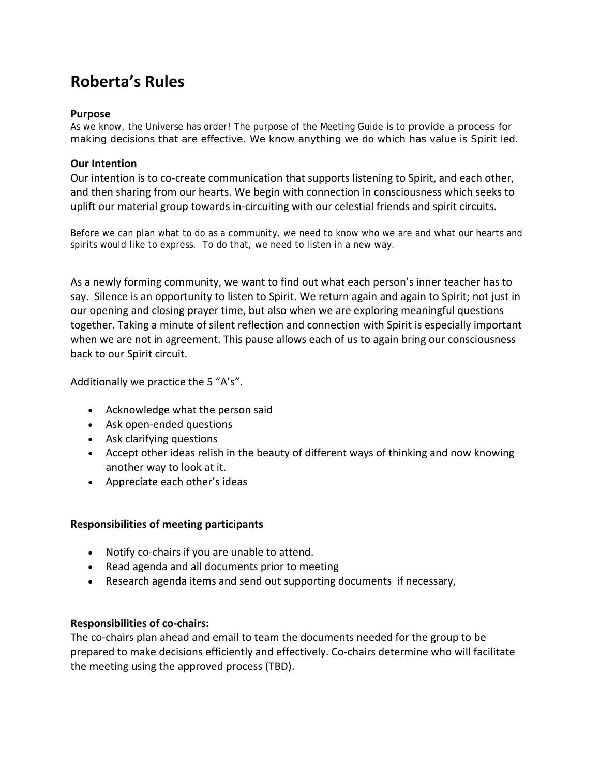# **Roberta's Rules**

#### **Purpose**

As we know, the Universe has order! The purpose of the Meeting Guide is to provide a process for making decisions that are effective. We know anything we do which has value is Spirit led.

## **Our Intention**

Our intention is to co-create communication that supports listening to Spirit, and each other, and then sharing from our hearts. We begin with connection in consciousness which seeks to uplift our material group towards in‐circuiting with our celestial friends and spirit circuits.

Before we can plan what to do as a community, we need to know who we are and what our hearts and spirits would like to express. To do that, we need to listen in a new way.

As a newly forming community, we want to find out what each person's inner teacher has to say. Silence is an opportunity to listen to Spirit. We return again and again to Spirit; not just in our opening and closing prayer time, but also when we are exploring meaningful questions together. Taking a minute of silent reflection and connection with Spirit is especially important when we are not in agreement. This pause allows each of us to again bring our consciousness back to our Spirit circuit.

Additionally we practice the 5 "A's".

- Acknowledge what the person said
- Ask open‐ended questions
- Ask clarifying questions
- Accept other ideas relish in the beauty of different ways of thinking and now knowing another way to look at it.
- Appreciate each other's ideas

# **Responsibilities of meeting participants**

- Notify co-chairs if you are unable to attend.
- Read agenda and all documents prior to meeting
- Research agenda items and send out supporting documents if necessary,

# **Responsibilities of co‐chairs:**

The co-chairs plan ahead and email to team the documents needed for the group to be prepared to make decisions efficiently and effectively. Co‐chairs determine who will facilitate the meeting using the approved process (TBD).